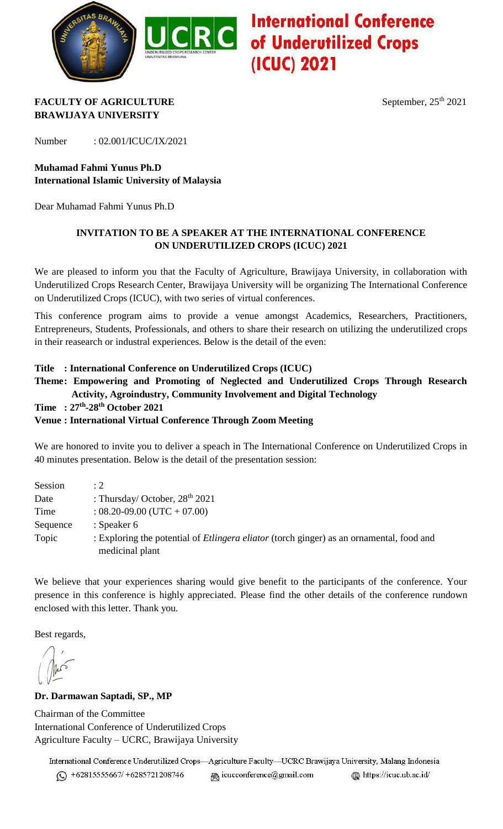

## **Red International Conference**<br>Red of Underutilized Crops (ICUC) 2021

#### **FACULTY OF AGRICULTURE** September,  $25^{\text{th}}$  2021 **BRAWIJAYA UNIVERSITY**

Number : 02.001/ICUC/IX/2021

## **Muhamad Fahmi Yunus Ph.D International Islamic University of Malaysia**

Dear Muhamad Fahmi Yunus Ph.D

#### **INVITATION TO BE A SPEAKER AT THE INTERNATIONAL CONFERENCE ON UNDERUTILIZED CROPS (ICUC) 2021**

We are pleased to inform you that the Faculty of Agriculture, Brawijaya University, in collaboration with Underutilized Crops Research Center, Brawijaya University will be organizing The International Conference on Underutilized Crops (ICUC), with two series of virtual conferences.

This conference program aims to provide a venue amongst Academics, Researchers, Practitioners, Entrepreneurs, Students, Professionals, and others to share their research on utilizing the underutilized crops in their reasearch or industral experiences. Below is the detail of the even:

#### **Title : International Conference on Underutilized Crops (ICUC)**

**Theme: Empowering and Promoting of Neglected and Underutilized Crops Through Research ...Activity, Agroindustry, Community Involvement and Digital Technology**

**Time : 27th -28th October 2021**

#### **Venue : International Virtual Conference Through Zoom Meeting**

We are honored to invite you to deliver a speach in The International Conference on Underutilized Crops in 40 minutes presentation. Below is the detail of the presentation session:

| Session  | :2                                                                                              |
|----------|-------------------------------------------------------------------------------------------------|
| Date     | : Thursday/ October, $28th 2021$                                                                |
| Time     | $: 08.20 - 09.00$ (UTC + 07.00)                                                                 |
| Sequence | : Speaker $6$                                                                                   |
| Topic    | : Exploring the potential of <i>Etlingera eliator</i> (torch ginger) as an ornamental, food and |
|          | medicinal plant                                                                                 |

We believe that your experiences sharing would give benefit to the participants of the conference. Your presence in this conference is highly appreciated. Please find the other details of the conference rundown enclosed with this letter. Thank you.

Best regards,

#### **Dr. Darmawan Saptadi, SP., MP**

Chairman of the Committee International Conference of Underutilized Crops Agriculture Faculty – UCRC, Brawijaya University

International Conference Underutilized Crops-Agriculture Faculty-UCRC Brawijaya University, Malang Indonesia https://icuc.ub.ac.id/  $\textcircled{ }$  +62815555667/ +6285721208746 @ icucconference@gmail.com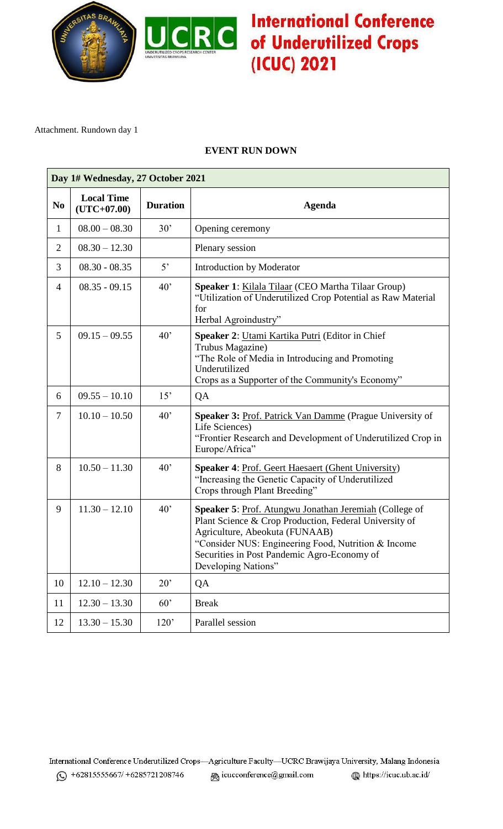

# **JCRC** International Conference (ICUC) 2021

Attachment. Rundown day 1

### **EVENT RUN DOWN**

| Day 1# Wednesday, 27 October 2021 |                                    |                 |                                                                                                                                                                                                                                                                                 |  |  |  |
|-----------------------------------|------------------------------------|-----------------|---------------------------------------------------------------------------------------------------------------------------------------------------------------------------------------------------------------------------------------------------------------------------------|--|--|--|
| N <sub>0</sub>                    | <b>Local Time</b><br>$(UTC+07.00)$ | <b>Duration</b> | <b>Agenda</b>                                                                                                                                                                                                                                                                   |  |  |  |
| $\mathbf{1}$                      | $08.00 - 08.30$                    | 30'             | Opening ceremony                                                                                                                                                                                                                                                                |  |  |  |
| $\overline{2}$                    | $08.30 - 12.30$                    |                 | Plenary session                                                                                                                                                                                                                                                                 |  |  |  |
| 3                                 | $08.30 - 08.35$                    | 5 <sup>2</sup>  | <b>Introduction by Moderator</b>                                                                                                                                                                                                                                                |  |  |  |
| 4                                 | $08.35 - 09.15$                    | 40'             | Speaker 1: Kilala Tilaar (CEO Martha Tilaar Group)<br>"Utilization of Underutilized Crop Potential as Raw Material<br>for<br>Herbal Agroindustry"                                                                                                                               |  |  |  |
| 5                                 | $09.15 - 09.55$                    | 40'             | Speaker 2: Utami Kartika Putri (Editor in Chief<br>Trubus Magazine)<br>"The Role of Media in Introducing and Promoting<br>Underutilized<br>Crops as a Supporter of the Community's Economy"                                                                                     |  |  |  |
| 6                                 | $09.55 - 10.10$                    | 15'             | QA                                                                                                                                                                                                                                                                              |  |  |  |
| 7                                 | $10.10 - 10.50$                    | 40'             | <b>Speaker 3: Prof. Patrick Van Damme (Prague University of</b><br>Life Sciences)<br>"Frontier Research and Development of Underutilized Crop in<br>Europe/Africa"                                                                                                              |  |  |  |
| 8                                 | $10.50 - 11.30$                    | 40'             | <b>Speaker 4: Prof. Geert Haesaert (Ghent University)</b><br>"Increasing the Genetic Capacity of Underutilized<br>Crops through Plant Breeding"                                                                                                                                 |  |  |  |
| 9                                 | $11.30 - 12.10$                    | 40'             | Speaker 5: Prof. Atungwu Jonathan Jeremiah (College of<br>Plant Science & Crop Production, Federal University of<br>Agriculture, Abeokuta (FUNAAB)<br>"Consider NUS: Engineering Food, Nutrition & Income<br>Securities in Post Pandemic Agro-Economy of<br>Developing Nations" |  |  |  |
| 10                                | $12.10 - 12.30$                    | 20'             | QA                                                                                                                                                                                                                                                                              |  |  |  |
| 11                                | $12.30 - 13.30$                    | 60'             | <b>Break</b>                                                                                                                                                                                                                                                                    |  |  |  |
| 12                                | $13.30 - 15.30$                    | 120'            | Parallel session                                                                                                                                                                                                                                                                |  |  |  |